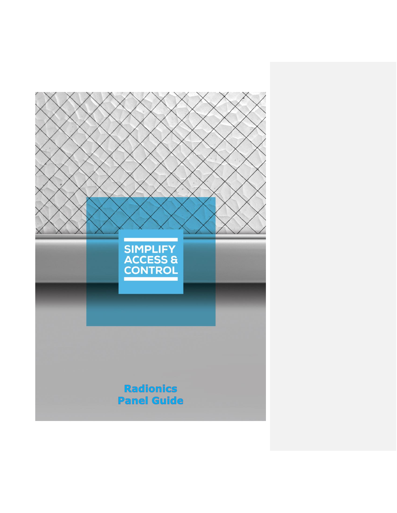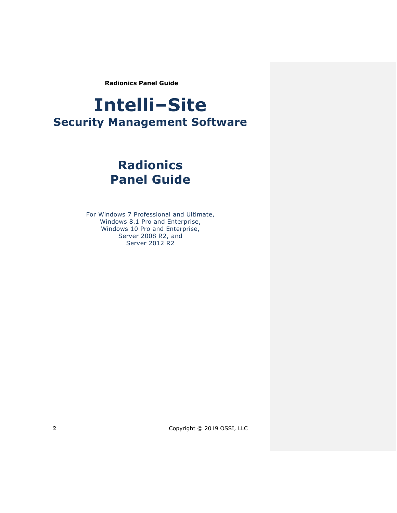# **Intelli‒Site Security Management Software**

# **Radionics Panel Guide**

For Windows 7 Professional and Ultimate, Windows 8.1 Pro and Enterprise, Windows 10 Pro and Enterprise, Server 2008 R2, and Server 2012 R2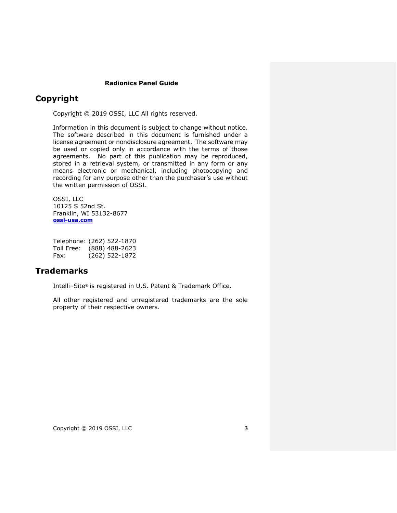## <span id="page-2-0"></span>**Copyright**

Copyright © 2019 OSSI, LLC All rights reserved.

Information in this document is subject to change without notice. The software described in this document is furnished under a license agreement or nondisclosure agreement. The software may be used or copied only in accordance with the terms of those agreements. No part of this publication may be reproduced, stored in a retrieval system, or transmitted in any form or any means electronic or mechanical, including photocopying and recording for any purpose other than the purchaser's use without the written permission of OSSI.

OSSI, LLC 10125 S 52nd St. Franklin, WI 53132-8677 **[ossi-usa.com](http://ossi-usa.com/)**

Telephone: (262) 522-1870 Toll Free: (888) 488-2623 Fax: (262) 522-1872

## <span id="page-2-1"></span>**Trademarks**

Intelli-Site® is registered in U.S. Patent & Trademark Office.

All other registered and unregistered trademarks are the sole property of their respective owners.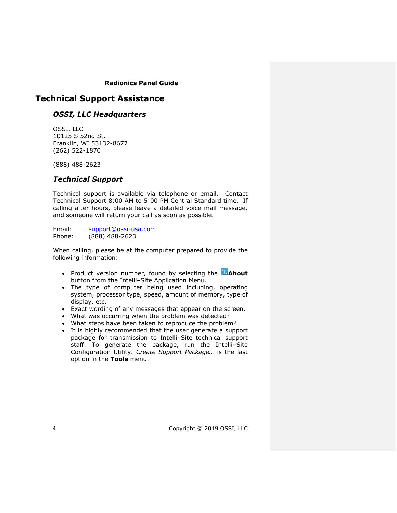## <span id="page-3-0"></span>**Technical Support Assistance**

## *OSSI, LLC Headquarters*

OSSI, LLC 10125 S 52nd St. Franklin, WI 53132-8677 (262) 522-1870

(888) 488-2623

## *Technical Support*

Technical support is available via telephone or email. Contact Technical Support 8:00 AM to 5:00 PM Central Standard time. If calling after hours, please leave a detailed voice mail message, and someone will return your call as soon as possible.

Email: [support@ossi-usa.com](mailto:support@ossi-usa.com) Phone: (888) 488-2623

When calling, please be at the computer prepared to provide the following information:

- Product version number, found by selecting the **C**About button from the Intelli-Site Application Menu.
- The type of computer being used including, operating system, processor type, speed, amount of memory, type of display, etc.
- Exact wording of any messages that appear on the screen.
- What was occurring when the problem was detected?
- What steps have been taken to reproduce the problem?
- It is highly recommended that the user generate a support package for transmission to Intelli-Site technical support staff. To generate the package, run the Intelli-Site Configuration Utility. *Create Support Package…* is the last option in the **Tools** menu.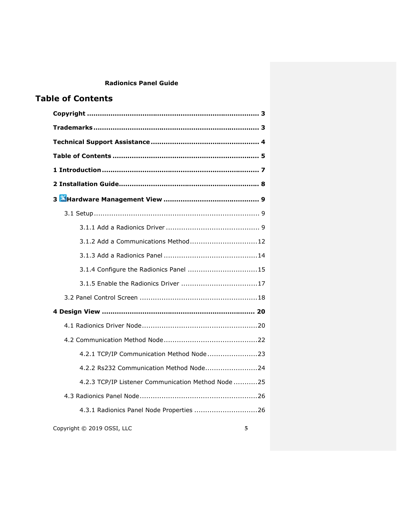# <span id="page-4-0"></span>**Table of Contents**

| 3.1.2 Add a Communications Method12                |  |
|----------------------------------------------------|--|
|                                                    |  |
|                                                    |  |
|                                                    |  |
|                                                    |  |
|                                                    |  |
|                                                    |  |
|                                                    |  |
| 4.2.1 TCP/IP Communication Method Node23           |  |
| 4.2.2 Rs232 Communication Method Node24            |  |
| 4.2.3 TCP/IP Listener Communication Method Node 25 |  |
|                                                    |  |
| 4.3.1 Radionics Panel Node Properties 26           |  |
| Copyright © 2019 OSSI, LLC<br>5                    |  |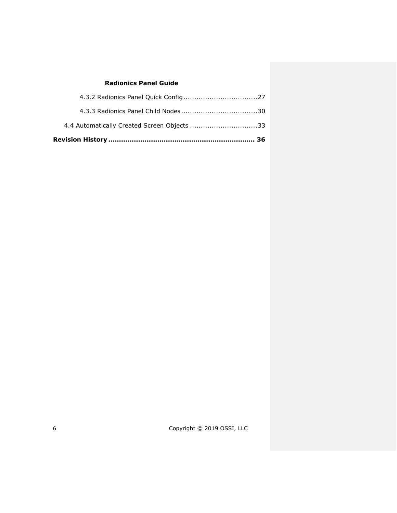| 4.4 Automatically Created Screen Objects 33 |  |
|---------------------------------------------|--|
|                                             |  |
|                                             |  |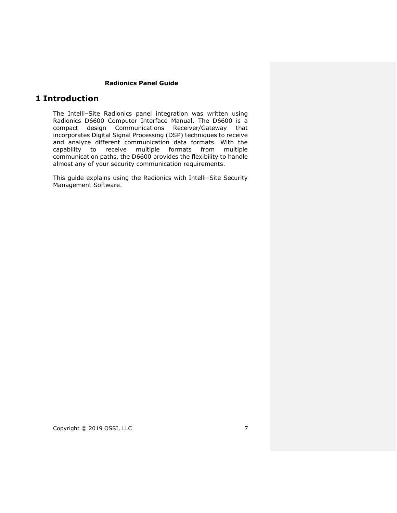## <span id="page-6-0"></span>**1 Introduction**

The Intelli-Site Radionics panel integration was written using Radionics D6600 Computer Interface Manual. The D6600 is a compact design Communications Receiver/Gateway that incorporates Digital Signal Processing (DSP) techniques to receive and analyze different communication data formats. With the capability to receive multiple formats from multiple communication paths, the D6600 provides the flexibility to handle almost any of your security communication requirements.

This guide explains using the Radionics with Intelli-Site Security Management Software.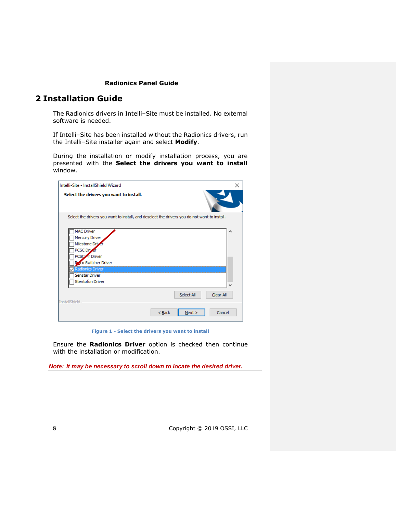## <span id="page-7-0"></span>**2 Installation Guide**

The Radionics drivers in Intelli-Site must be installed. No external software is needed.

If Intelli-Site has been installed without the Radionics drivers, run the Intelli‒Site installer again and select **Modify**.

During the installation or modify installation process, you are presented with the **Select the drivers you want to install** window.

| Intelli-Site - InstallShield Wizard                                                                                                                                                      |                            | × |
|------------------------------------------------------------------------------------------------------------------------------------------------------------------------------------------|----------------------------|---|
| Select the drivers you want to install.                                                                                                                                                  |                            |   |
| Select the drivers you want to install, and deselect the drivers you do not want to install.                                                                                             |                            |   |
| <b>MAC Driver</b><br>Mercury Driver<br>Milestone Driver<br><b>PCSC Driver</b><br>PCSC <sub>A</sub> T Driver<br><b>Prico Switcher Driver</b><br><b>Radionics Driver</b><br>Senstar Driver |                            | A |
| <b>Stentofon Driver</b>                                                                                                                                                                  |                            | v |
| <b>InstallShield</b>                                                                                                                                                                     | Select All<br>Clear All    |   |
|                                                                                                                                                                                          | Cancel<br>$Back$<br>Next > |   |

**Figure 1 - Select the drivers you want to install**

Ensure the **Radionics Driver** option is checked then continue with the installation or modification.

*Note: It may be necessary to scroll down to locate the desired driver.*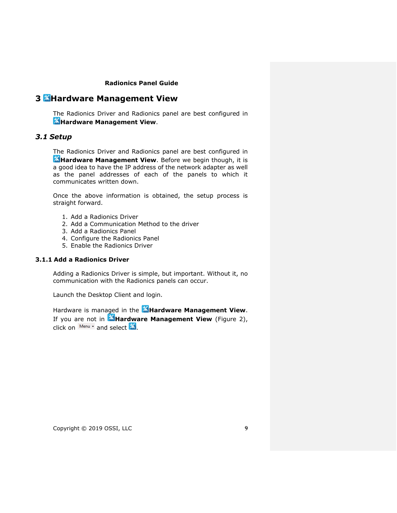# <span id="page-8-0"></span>**3 Hardware Management View**

The Radionics Driver and Radionics panel are best configured in **K**Hardware Management View.

## <span id="page-8-1"></span>*3.1 Setup*

The Radionics Driver and Radionics panel are best configured in **Hardware Management View**. Before we begin though, it is a good idea to have the IP address of the network adapter as well as the panel addresses of each of the panels to which it communicates written down.

Once the above information is obtained, the setup process is straight forward.

- 1. Add a Radionics Driver
- 2. Add a Communication Method to the driver
- 3. Add a Radionics Panel
- 4. Configure the Radionics Panel
- 5. Enable the Radionics Driver

#### <span id="page-8-2"></span>**3.1.1 Add a Radionics Driver**

Adding a Radionics Driver is simple, but important. Without it, no communication with the Radionics panels can occur.

Launch the Desktop Client and login.

Hardware is managed in the **Hardware Management View**. If you are not in **Hardware Management View** (Figure 2), click on  $\frac{\text{Menu}}{\ }$  and select  $\mathbb{X}$ .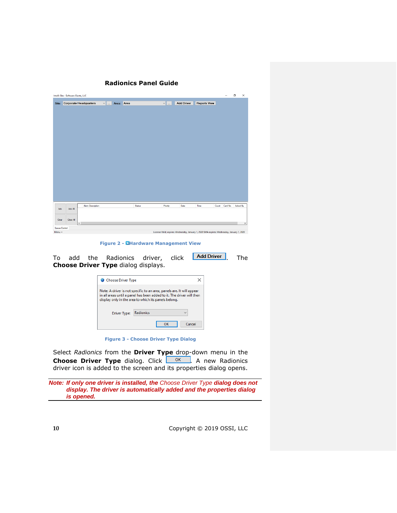|               | Intelli-Site - Software Giants, LLC |                              |               |            |               |                    |                   |                                                                                            |       |          | σ        | $\times$ |
|---------------|-------------------------------------|------------------------------|---------------|------------|---------------|--------------------|-------------------|--------------------------------------------------------------------------------------------|-------|----------|----------|----------|
|               |                                     | Site: Corporate Headquarters | $\vee$ $\Box$ | Area: Area |               | $\vee$ $\parallel$ | <b>Add Driver</b> | <b>Reports View</b>                                                                        |       |          |          |          |
|               |                                     |                              |               |            |               |                    |                   |                                                                                            |       |          |          |          |
|               |                                     |                              |               |            |               |                    |                   |                                                                                            |       |          |          |          |
|               |                                     |                              |               |            |               |                    |                   |                                                                                            |       |          |          |          |
|               |                                     |                              |               |            |               |                    |                   |                                                                                            |       |          |          |          |
|               |                                     |                              |               |            |               |                    |                   |                                                                                            |       |          |          |          |
|               |                                     |                              |               |            |               |                    |                   |                                                                                            |       |          |          |          |
|               |                                     |                              |               |            |               |                    |                   |                                                                                            |       |          |          |          |
|               |                                     |                              |               |            |               |                    |                   |                                                                                            |       |          |          |          |
|               |                                     |                              |               |            |               |                    |                   |                                                                                            |       |          |          |          |
|               |                                     |                              |               |            |               |                    |                   |                                                                                            |       |          |          |          |
|               |                                     |                              |               |            |               |                    |                   |                                                                                            |       |          |          |          |
|               |                                     |                              |               |            |               |                    |                   |                                                                                            |       |          |          |          |
|               |                                     |                              |               |            |               |                    |                   |                                                                                            |       |          |          |          |
|               |                                     |                              |               |            |               |                    |                   |                                                                                            |       |          |          |          |
|               |                                     |                              |               |            |               |                    |                   |                                                                                            |       |          |          |          |
| Ack           | Ack All                             | Alam Description             |               |            | <b>Status</b> | Priority           | Date              | Time                                                                                       | Count | Card No. | Acked By |          |
|               |                                     |                              |               |            |               |                    |                   |                                                                                            |       |          |          |          |
| Clear         | Clear All                           |                              |               |            |               |                    |                   |                                                                                            |       |          |          |          |
| Queue Control |                                     | $\langle$                    |               |            |               |                    |                   |                                                                                            |       |          |          | $\,$     |
| Menu -        |                                     |                              |               |            |               |                    |                   | License Valid, expires: Wednesday, January 1, 2020 SMA expires: Wednesday, January 1, 2020 |       |          |          |          |

**Figure 2 - Hardware Management View**

To add the Radionics driver, click **Add Driver** . The **Choose Driver Type** dialog displays.

| Choose Driver Type                                                                                                                                                                                     |           |    |              |
|--------------------------------------------------------------------------------------------------------------------------------------------------------------------------------------------------------|-----------|----|--------------|
| Note: A driver is not specific to an area, panels are. It will appear<br>in all areas until a panel has been added to it. The driver will then<br>display only in the area to which its panels belong. |           |    |              |
| Driver Type:                                                                                                                                                                                           | Radionics |    | $\checkmark$ |
|                                                                                                                                                                                                        |           | ок | Cancel       |

**Figure 3 - Choose Driver Type Dialog**

Select *Radionics* from the **Driver Type** drop-down menu in the **Choose Driver Type** dialog. Click . A new Radionics driver icon is added to the screen and its properties dialog opens.

*Note: If only one driver is installed, the Choose Driver Type dialog does not display. The driver is automatically added and the properties dialog is opened.*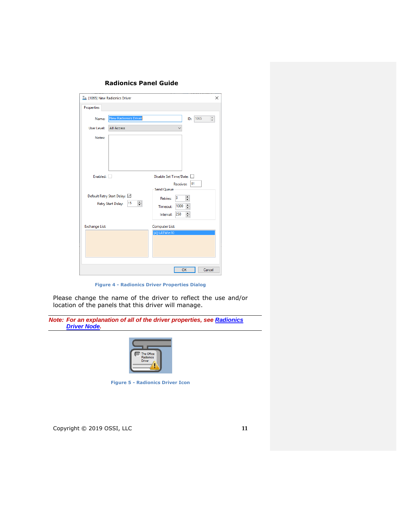| <b>Properties</b><br><b>New Radionics Driver</b><br>$\hat{\bar{\bar{\tau}}}$<br>1065<br>Name:<br>ID:<br>User Level:<br><b>All Access</b><br>Notes:                                                              |  |
|-----------------------------------------------------------------------------------------------------------------------------------------------------------------------------------------------------------------|--|
|                                                                                                                                                                                                                 |  |
|                                                                                                                                                                                                                 |  |
|                                                                                                                                                                                                                 |  |
|                                                                                                                                                                                                                 |  |
| Enabled:<br>Disable Set Time/Date:                                                                                                                                                                              |  |
| $ 01\rangle$<br>Receiver:<br><b>Send Queue</b><br>Default Retry Start Delay: V<br>$\div$<br>3<br><b>Retries:</b><br>÷<br>15<br>Retry Start Delay:<br>÷<br>1000<br>Timeout:<br>$\frac{1}{\tau}$<br>Interval: 250 |  |
| Computer List:<br><b>Exchange List:</b>                                                                                                                                                                         |  |
| [4] LATWin10                                                                                                                                                                                                    |  |
| OK<br>Cancel                                                                                                                                                                                                    |  |

**Figure 4 - Radionics Driver Properties Dialog**

Please change the name of the driver to reflect the use and/or location of the panels that this driver will manage.

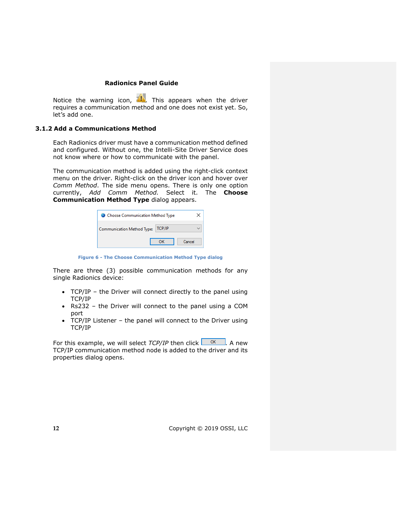Notice the warning icon,  $\Box$ . This appears when the driver requires a communication method and one does not exist yet. So, let's add one.

#### <span id="page-11-0"></span>**3.1.2 Add a Communications Method**

Each Radionics driver must have a communication method defined and configured. Without one, the Intelli-Site Driver Service does not know where or how to communicate with the panel.

The communication method is added using the right-click context menu on the driver. Right-click on the driver icon and hover over *Comm Method*. The side menu opens. There is only one option currently, *Add Comm Method.* Select it. The **Choose Communication Method Type** dialog appears.

| Choose Communication Method Type  |               |        |  |  |  |
|-----------------------------------|---------------|--------|--|--|--|
| <b>Communication Method Type:</b> | <b>TCP/IP</b> |        |  |  |  |
|                                   |               | Cancel |  |  |  |

**Figure 6 - The Choose Communication Method Type dialog**

There are three (3) possible communication methods for any single Radionics device:

- TCP/IP the Driver will connect directly to the panel using TCP/IP
- Rs232 the Driver will connect to the panel using a COM port
- TCP/IP Listener the panel will connect to the Driver using TCP/IP

For this example, we will select  $TCP/IP$  then click  $\Box$ <sup>ok</sup>  $\Box$ . A new TCP/IP communication method node is added to the driver and its properties dialog opens.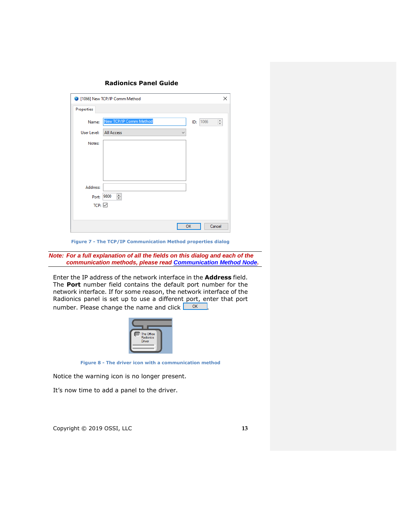| <b>Radionics Panel Guide</b> |  |  |
|------------------------------|--|--|
|------------------------------|--|--|

|                   | 1066] New TCP/IP Comm Method      | X                                                            |
|-------------------|-----------------------------------|--------------------------------------------------------------|
| Properties        |                                   |                                                              |
| Name:             | New TCP/IP Comm Method            | 1066<br>$\hat{\overline{\phantom{a}}\hspace{-0.5em}}$<br>ID: |
| User Level:       | <b>All Access</b><br>$\checkmark$ |                                                              |
| Notes:            |                                   |                                                              |
|                   |                                   |                                                              |
|                   |                                   |                                                              |
|                   |                                   |                                                              |
| Address:          |                                   |                                                              |
| Port:             | ÷<br>9800                         |                                                              |
| $TCP: \n\swarrow$ |                                   |                                                              |
|                   |                                   |                                                              |
|                   |                                   | OK<br>Cancel                                                 |

**Figure 7 - The TCP/IP Communication Method properties dialog**

*Note: For a full explanation of all the fields on this dialog and each of the communication methods, please read [Communication Method Node.](#page-21-0)*

Enter the IP address of the network interface in the **Address** field. The **Port** number field contains the default port number for the network interface. If for some reason, the network interface of the Radionics panel is set up to use a different port, enter that port number. Please change the name and click  $\Box$  <sup>OK</sup>



**Figure 8 - The driver icon with a communication method**

Notice the warning icon is no longer present.

It's now time to add a panel to the driver.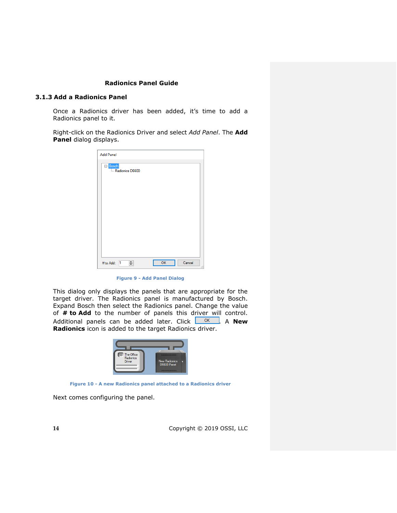#### <span id="page-13-0"></span>**3.1.3 Add a Radionics Panel**

Once a Radionics driver has been added, it's time to add a Radionics panel to it.

Right-click on the Radionics Driver and select *Add Panel*. The **Add Panel** dialog displays.

| <b>Add Panel</b>                         |    |                     |
|------------------------------------------|----|---------------------|
| <mark>⊟-</mark> Bosch<br>Radionics D6600 |    |                     |
|                                          |    |                     |
|                                          |    |                     |
|                                          |    |                     |
|                                          |    |                     |
|                                          |    |                     |
|                                          |    |                     |
|                                          |    |                     |
| $\div$<br>$\vert$ 1<br># to Add:         | OK | Cancel<br>$\vec{H}$ |

**Figure 9 - Add Panel Dialog**

This dialog only displays the panels that are appropriate for the target driver. The Radionics panel is manufactured by Bosch. Expand Bosch then select the Radionics panel. Change the value of **# to Add** to the number of panels this driver will control. Additional panels can be added later. Click **. OK ...** A **New Radionics** icon is added to the target Radionics driver.

| 3000000000<br><b>New Radionics</b><br>D6600 Panel |
|---------------------------------------------------|
|                                                   |

**Figure 10 - A new Radionics panel attached to a Radionics driver**

Next comes configuring the panel.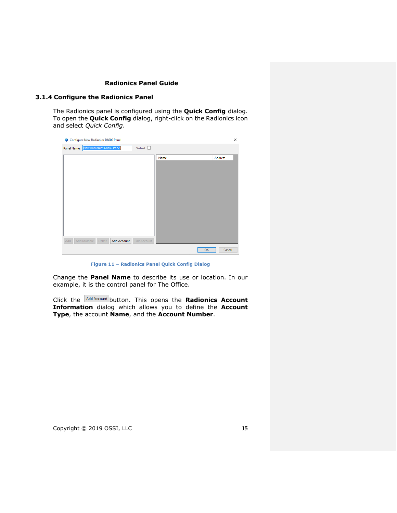#### <span id="page-14-0"></span>**3.1.4 Configure the Radionics Panel**

The Radionics panel is configured using the **Quick Config** dialog. To open the **Quick Config** dialog, right-click on the Radionics icon and select *Quick Config*.

| Configure New Radionics D6600 Panel |                           |        |                    |                     |      |              | $\times$ |
|-------------------------------------|---------------------------|--------|--------------------|---------------------|------|--------------|----------|
| Panel Name:                         | New Radionics D6600 Panel |        |                    | Virtual: $\Box$     |      |              |          |
|                                     |                           |        |                    |                     | Name | Address      |          |
|                                     |                           |        |                    |                     |      |              |          |
|                                     |                           |        |                    |                     |      |              |          |
|                                     |                           |        |                    |                     |      |              |          |
|                                     |                           |        |                    |                     |      |              |          |
|                                     |                           |        |                    |                     |      |              |          |
|                                     |                           |        |                    |                     |      |              |          |
|                                     |                           |        |                    |                     |      |              |          |
|                                     |                           |        |                    |                     |      |              |          |
|                                     |                           |        |                    |                     |      |              |          |
| Add                                 | Add Multiple              | Delete | <b>Add Account</b> | <b>Edit Account</b> |      |              |          |
|                                     |                           |        |                    |                     |      | OK<br>Cancel |          |

**Figure 11 – Radionics Panel Quick Config Dialog**

Change the **Panel Name** to describe its use or location. In our example, it is the control panel for The Office.

Click the **Add Account** button. This opens the **Radionics Account Information** dialog which allows you to define the **Account Type**, the account **Name**, and the **Account Number**.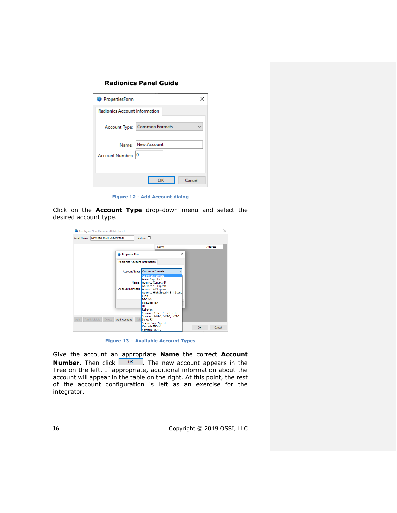| PropertiesForm                       |                              |
|--------------------------------------|------------------------------|
| <b>Radionics Account Information</b> |                              |
|                                      | Account Type: Common Formats |
| Account Number: 0                    | Name: New Account            |
|                                      | Cancel<br>ОΚ                 |

**Figure 12 - Add Account dialog**

Click on the **Account Type** drop-down menu and select the desired account type.

| Panel Name: | New Radionics D6600 Panel |                                      | Virtual: $\Box$<br>Name                             |           | <b>Address</b> |
|-------------|---------------------------|--------------------------------------|-----------------------------------------------------|-----------|----------------|
|             |                           |                                      |                                                     |           |                |
|             |                           | PropertiesForm                       | $\times$                                            |           |                |
|             |                           | <b>Radionics Account Information</b> |                                                     |           |                |
|             |                           |                                      |                                                     |           |                |
|             |                           | <b>Account Type:</b>                 | <b>Common Formats</b><br><b>Common Formats</b>      |           |                |
|             |                           |                                      | <b>Acron Super Fast</b>                             |           |                |
|             |                           | Name:                                | Ademco Contact-ID                                   |           |                |
|             |                           | <b>Account Number:</b>               | Ademco 4-1 Express<br>Ademco 4-2 Express            |           |                |
|             |                           |                                      | Ademco High Speed 4-8-1, Scanc                      |           |                |
|             |                           |                                      | <b>CFSK</b><br><b>DSC 4-3</b>                       |           |                |
|             |                           |                                      | <b>FBI Super Fast</b>                               |           |                |
|             |                           |                                      | IΤI                                                 |           |                |
|             |                           |                                      | Robofon<br>Scancom 4-16-1, 5-16-1, 6-16-1           |           |                |
|             |                           |                                      | Scancom 4-24-1, 5-24-1, 6-24-1                      |           |                |
| <b>Add</b>  | Add Multiple<br>Delete    | Add Account                          | <b>Edit Seriee FSK</b><br><b>Sescoa Super Speed</b> |           |                |
|             |                           |                                      | Varitech FSK 4-1                                    | <b>OK</b> | Cancel         |
|             |                           |                                      | Varitech FSK 4-2                                    |           |                |

**Figure 13 – Available Account Types**

Give the account an appropriate **Name** the correct **Account Number**. Then click  $\frac{1}{\sqrt{1-\frac{1}{n}}}$ . The new account appears in the Tree on the left. If appropriate, additional information about the account will appear in the table on the right. At this point, the rest of the account configuration is left as an exercise for the integrator.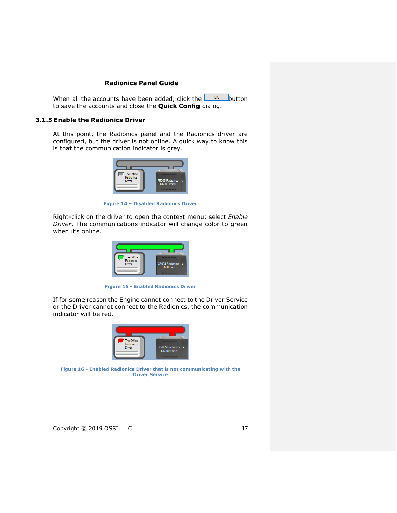When all the accounts have been added, click the  $\Box$ <sup>OK</sup> button to save the accounts and close the **Quick Config** dialog.

#### <span id="page-16-0"></span>**3.1.5 Enable the Radionics Driver**

At this point, the Radionics panel and the Radionics driver are configured, but the driver is not online. A quick way to know this is that the communication indicator is grey.



**Figure 14 – Disabled Radionics Driver**

Right-click on the driver to open the context menu; select *Enable Driver*. The communications indicator will change color to green when it's online.



**Figure 15 - Enabled Radionics Driver**

If for some reason the Engine cannot connect to the Driver Service or the Driver cannot connect to the Radionics, the communication indicator will be red.



**Figure 16 - Enabled Radionics Driver that is not communicating with the Driver Service**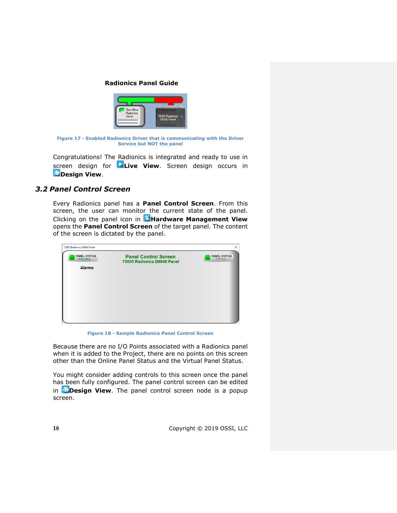

**Figure 17 - Enabled Radionics Driver that is communicating with the Driver Service but NOT the panel**

Congratulations! The Radionics is integrated and ready to use in screen design for **Live View**. Screen design occurs in **Design View.** 

## <span id="page-17-0"></span>*3.2 Panel Control Screen*

Every Radionics panel has a **Panel Control Screen**. From this screen, the user can monitor the current state of the panel. Clicking on the panel icon in **Hardware Management View** opens the **Panel Control Screen** of the target panel. The content of the screen is dictated by the panel.



**Figure 18 - Sample Radionics Panel Control Screen**

Because there are no I/O Points associated with a Radionics panel when it is added to the Project, there are no points on this screen other than the Online Panel Status and the Virtual Panel Status.

You might consider adding controls to this screen once the panel has been fully configured. The panel control screen can be edited in **Design View**. The panel control screen node is a popup screen.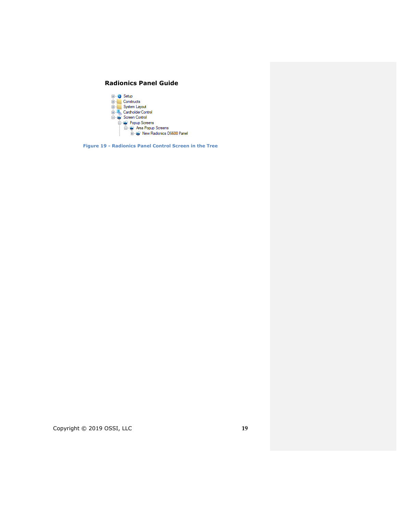

**Figure 19 - Radionics Panel Control Screen in the Tree**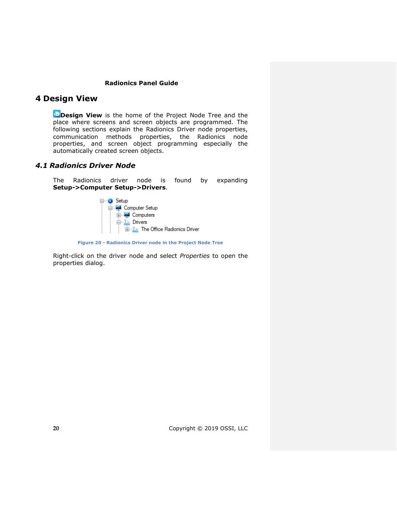# <span id="page-19-0"></span>**4 Design View**

*Design View* is the home of the Project Node Tree and the place where screens and screen objects are programmed. The following sections explain the Radionics Driver node properties, communication methods properties, the Radionics node properties, and screen object programming especially the automatically created screen objects.

## <span id="page-19-2"></span><span id="page-19-1"></span>*4.1 Radionics Driver Node*

The Radionics driver node is found by expanding **Setup->Computer Setup->Drivers**.



**Figure 20 - Radionics Driver node in the Project Node Tree**

Right-click on the driver node and select *Properties* to open the properties dialog.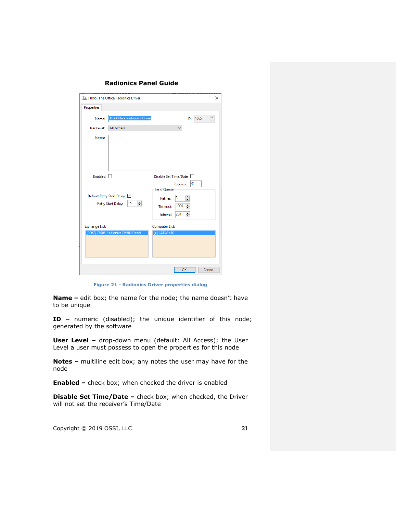**Radionics Panel Guide**

| I [1065] The Office Radionics Driver                          | $\times$                                                                                                                      |
|---------------------------------------------------------------|-------------------------------------------------------------------------------------------------------------------------------|
| Properties                                                    |                                                                                                                               |
| The Office Radionics Driver<br>Name:                          | $\frac{1}{\tau}$<br>1065<br>ID:                                                                                               |
| User Level:<br><b>All Access</b>                              |                                                                                                                               |
| Notes:                                                        |                                                                                                                               |
| Enabled: $\Box$                                               | Disable Set Time/Date:                                                                                                        |
| Default Retry Start Delay: V<br>딐<br>15<br>Retry Start Delay: | 01<br>Receiver:<br><b>Send Oueue</b><br>÷<br>з<br><b>Retries:</b><br>$\div$<br>1000<br>Timeout:<br>$\div$<br>250<br>Interval: |
| <b>Exchange List:</b><br>[1067] 75005 Radionics D6600 Panel   | <b>Computer List:</b><br>[4] LATWin10                                                                                         |
|                                                               | OK<br>Cancel                                                                                                                  |

**Figure 21 - Radionics Driver properties dialog**

**Name –** edit box; the name for the node; the name doesn't have to be unique

**ID –** numeric (disabled); the unique identifier of this node; generated by the software

**User Level -** drop-down menu (default: All Access); the User Level a user must possess to open the properties for this node

**Notes –** multiline edit box; any notes the user may have for the node

**Enabled –** check box; when checked the driver is enabled

**Disable Set Time/Date –** check box; when checked, the Driver will not set the receiver's Time/Date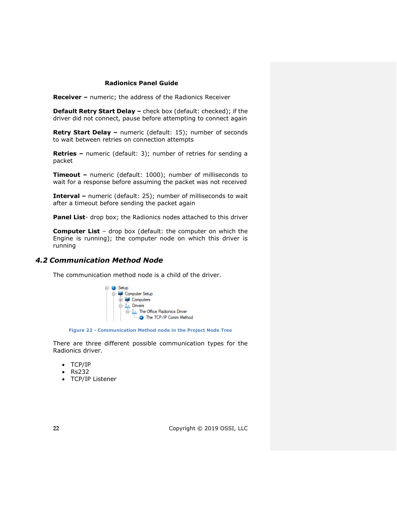**Receiver –** numeric; the address of the Radionics Receiver

**Default Retry Start Delay –** check box (default: checked); if the driver did not connect, pause before attempting to connect again

**Retry Start Delay –** numeric (default: 15); number of seconds to wait between retries on connection attempts

**Retries –** numeric (default: 3); number of retries for sending a packet

**Timeout –** numeric (default: 1000); number of milliseconds to wait for a response before assuming the packet was not received

**Interval –** numeric (default: 25); number of milliseconds to wait after a timeout before sending the packet again

Panel List- drop box; the Radionics nodes attached to this driver

**Computer List** – drop box (default: the computer on which the Engine is running); the computer node on which this driver is running

## <span id="page-21-0"></span>*4.2 Communication Method Node*

The communication method node is a child of the driver.



**Figure 22 - Communication Method node in the Project Node Tree**

There are three different possible communication types for the Radionics driver.

- TCP/IP
- Rs232
- TCP/IP Listener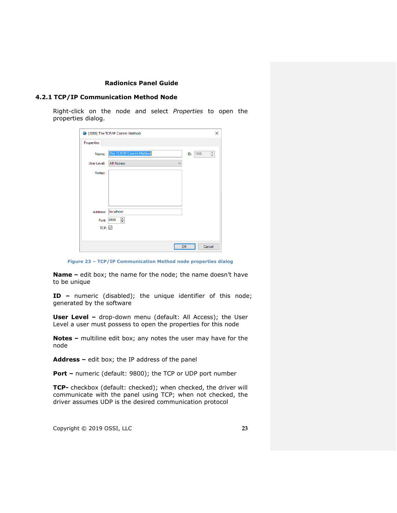#### <span id="page-22-0"></span>**4.2.1 TCP/IP Communication Method Node**

Right-click on the node and select *Properties* to open the properties dialog.

|                   | 1066] The TCP/IP Comm Method      |     | ×         |
|-------------------|-----------------------------------|-----|-----------|
| Properties        |                                   |     |           |
| Name:             | The TCP/IP Comm Method            | ID: | 1066<br>÷ |
| User Level:       | <b>All Access</b><br>$\checkmark$ |     |           |
| Notes:            |                                   |     |           |
|                   |                                   |     |           |
|                   |                                   |     |           |
|                   |                                   |     |           |
| Address:          | localhost                         |     |           |
| Port: 9800        | ÷                                 |     |           |
| $TCP: \n\swarrow$ |                                   |     |           |
|                   |                                   |     |           |
|                   |                                   | OK  | Cancel    |

**Figure 23 – TCP/IP Communication Method node properties dialog**

**Name –** edit box; the name for the node; the name doesn't have to be unique

**ID –** numeric (disabled); the unique identifier of this node; generated by the software

**User Level -** drop-down menu (default: All Access); the User Level a user must possess to open the properties for this node

**Notes –** multiline edit box; any notes the user may have for the node

**Address –** edit box; the IP address of the panel

**Port –** numeric (default: 9800); the TCP or UDP port number

**TCP-** checkbox (default: checked); when checked, the driver will communicate with the panel using TCP; when not checked, the driver assumes UDP is the desired communication protocol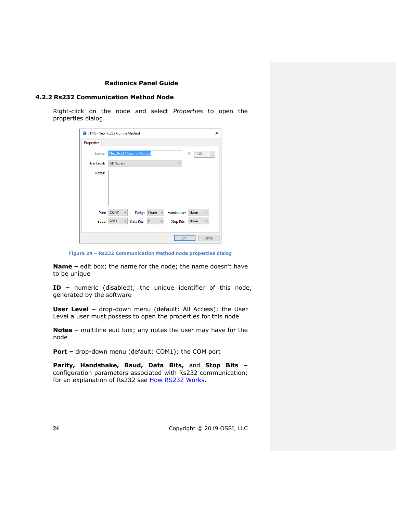#### <span id="page-23-0"></span>**4.2.2 Rs232 Communication Method Node**

Right-click on the node and select *Properties* to open the properties dialog.

| 1145] New Rs232 Comm Method |                       |            |                      |                   |             | $\times$        |
|-----------------------------|-----------------------|------------|----------------------|-------------------|-------------|-----------------|
| <b>Properties</b>           |                       |            |                      |                   |             |                 |
| Name:                       | New Rs232 Comm Method |            |                      |                   | 1145<br>ID: | $\frac{1}{\pi}$ |
| User Level:                 | <b>All Access</b>     |            |                      |                   |             |                 |
| Notes:                      |                       |            |                      |                   |             |                 |
|                             |                       |            |                      |                   |             |                 |
|                             |                       |            |                      |                   |             |                 |
|                             |                       |            |                      |                   |             |                 |
| Port:                       | COM1<br>$\checkmark$  | Parity:    | None<br>$\checkmark$ | Handshake:        | None        |                 |
| Baud:                       | 9600<br>$\checkmark$  | Data Bits: | 8<br>$\checkmark$    | <b>Stop Bits:</b> | None        | $\checkmark$    |
|                             |                       |            |                      |                   |             |                 |
|                             |                       |            |                      | OK                |             | Cancel          |

**Figure 24 – Rs232 Communication Method node properties dialog**

**Name –** edit box; the name for the node; the name doesn't have to be unique

**ID –** numeric (disabled); the unique identifier of this node; generated by the software

**User Level -** drop-down menu (default: All Access); the User Level a user must possess to open the properties for this node

**Notes –** multiline edit box; any notes the user may have for the node

**Port -** drop-down menu (default: COM1); the COM port

**Parity, Handshake, Baud, Data Bits,** and **Stop Bits –** configuration parameters associated with Rs232 communication; for an explanation of Rs232 see [How RS232 Works.](https://www.best-microcontroller-projects.com/how-rs232-works.html)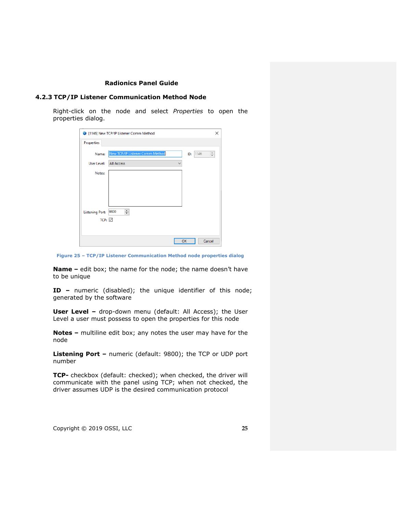#### <span id="page-24-0"></span>**4.2.3 TCP/IP Listener Communication Method Node**

Right-click on the node and select *Properties* to open the properties dialog.

|                        | 1146] New TCP/IP Listener Comm Method | ×                |
|------------------------|---------------------------------------|------------------|
| Properties             |                                       |                  |
| Name:                  | New TCP/IP Listener Comm Method       | 1146<br>÷<br>ID: |
| User Level:            | <b>All Access</b><br>$\checkmark$     |                  |
| Notes:                 |                                       |                  |
|                        |                                       |                  |
|                        |                                       |                  |
|                        |                                       |                  |
| <b>Listening Port:</b> | $\div$<br>9800                        |                  |
| TCP: $\boxed{\smile}$  |                                       |                  |
|                        |                                       |                  |
|                        |                                       | OK<br>Cancel     |

**Figure 25 – TCP/IP Listener Communication Method node properties dialog**

**Name –** edit box; the name for the node; the name doesn't have to be unique

**ID –** numeric (disabled); the unique identifier of this node; generated by the software

**User Level -** drop-down menu (default: All Access); the User Level a user must possess to open the properties for this node

**Notes –** multiline edit box; any notes the user may have for the node

**Listening Port –** numeric (default: 9800); the TCP or UDP port number

**TCP-** checkbox (default: checked); when checked, the driver will communicate with the panel using TCP; when not checked, the driver assumes UDP is the desired communication protocol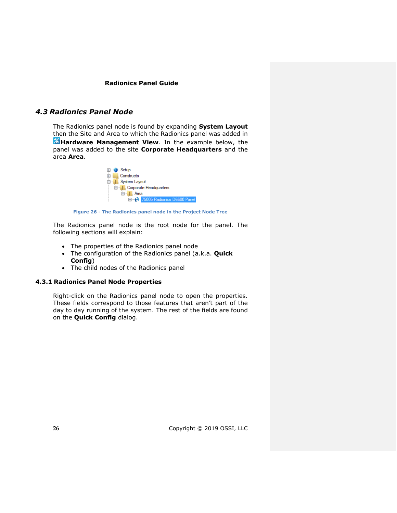## <span id="page-25-0"></span>*4.3 Radionics Panel Node*

The Radionics panel node is found by expanding **System Layout** then the Site and Area to which the Radionics panel was added in **Hardware Management View**. In the example below, the panel was added to the site **Corporate Headquarters** and the area **Area**.



**Figure 26 - The Radionics panel node in the Project Node Tree**

The Radionics panel node is the root node for the panel. The following sections will explain:

- The properties of the Radionics panel node
- The configuration of the Radionics panel (a.k.a. **Quick Config**)
- The child nodes of the Radionics panel

## **4.3.1 Radionics Panel Node Properties**

<span id="page-25-1"></span>Right-click on the Radionics panel node to open the properties. These fields correspond to those features that aren't part of the day to day running of the system. The rest of the fields are found on the **Quick Config** dialog.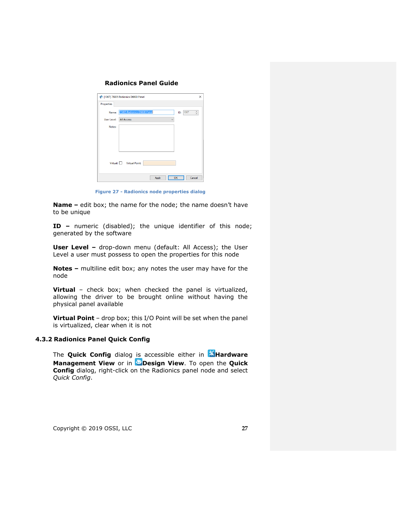|                   | 1067] 75005 Radionics D6600 Panel | $\times$                        |
|-------------------|-----------------------------------|---------------------------------|
| <b>Properties</b> |                                   |                                 |
| Name:             | 75005 Radionics D6600 Panel       | 1067<br>$\frac{1}{\tau}$<br>ID: |
| User Level:       | <b>All Access</b>                 | $\checkmark$                    |
| Notes:            |                                   |                                 |
|                   |                                   |                                 |
|                   |                                   |                                 |
|                   |                                   |                                 |
|                   |                                   |                                 |
|                   | Virtual: Virtual Point:           |                                 |
|                   |                                   |                                 |
|                   | Apply                             | Cancel<br>OK                    |

**Figure 27 - Radionics node properties dialog**

**Name –** edit box; the name for the node; the name doesn't have to be unique

**ID –** numeric (disabled); the unique identifier of this node; generated by the software

**User Level -** drop-down menu (default: All Access); the User Level a user must possess to open the properties for this node

**Notes –** multiline edit box; any notes the user may have for the node

**Virtual** – check box; when checked the panel is virtualized, allowing the driver to be brought online without having the physical panel available

**Virtual Point** – drop box; this I/O Point will be set when the panel is virtualized, clear when it is not

## **4.3.2 Radionics Panel Quick Config**

<span id="page-26-0"></span>The **Quick Config** dialog is accessible either in **Hardware Management View** or in **Design View**. To open the Quick **Config** dialog, right-click on the Radionics panel node and select *Quick Config*.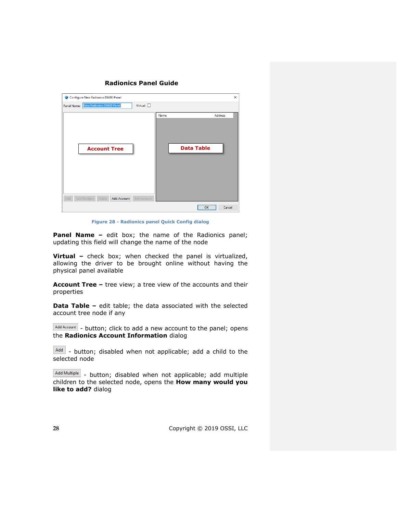| Configure New Radionics D6600 Panel                                        |                                             | $\times$ |
|----------------------------------------------------------------------------|---------------------------------------------|----------|
| New Radionics D6600 Panel<br>Virtual: $\Box$<br>Panel Name:                |                                             |          |
| <b>Account Tree</b>                                                        | <b>Address</b><br>Name<br><b>Data Table</b> |          |
| Add<br>Add Multiple<br>Add Account<br><b>Edit Account</b><br><b>Delete</b> | OK<br>Cancel                                |          |

**Figure 28 - Radionics panel Quick Config dialog**

**Panel Name –** edit box; the name of the Radionics panel; updating this field will change the name of the node

**Virtual –** check box; when checked the panel is virtualized, allowing the driver to be brought online without having the physical panel available

**Account Tree –** tree view; a tree view of the accounts and their properties

**Data Table –** edit table; the data associated with the selected account tree node if any

Add Account - button; click to add a new account to the panel; opens the **Radionics Account Information** dialog

Add - button; disabled when not applicable; add a child to the selected node

 $A_{dd}$  Multiple  $\vert$  - button; disabled when not applicable; add multiple children to the selected node, opens the **How many would you like to add?** dialog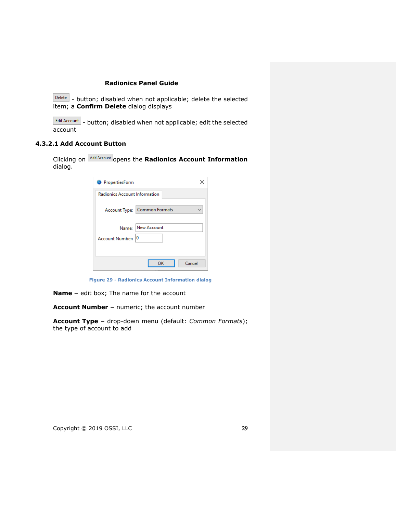$\boxed{\text{Delete}}$  - button; disabled when not applicable; delete the selected item; a **Confirm Delete** dialog displays

Edit Account - button; disabled when not applicable; edit the selected account

## **4.3.2.1 Add Account Button**

Clicking on **Add Account** opens the **Radionics Account Information** dialog.

| PropertiesForm                       |                              |
|--------------------------------------|------------------------------|
| <b>Radionics Account Information</b> |                              |
|                                      | Account Type: Common Formats |
| Name:<br>Account Number: 0           | New Account                  |
|                                      | Cancel<br>ок                 |

**Figure 29 - Radionics Account Information dialog**

**Name –** edit box; The name for the account

**Account Number –** numeric; the account number

**Account Type –** drop-down menu (default: *Common Formats*); the type of account to add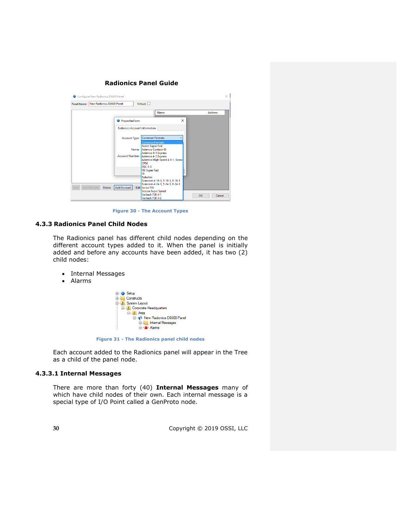

**Figure 30 - The Account Types**

## **4.3.3 Radionics Panel Child Nodes**

<span id="page-29-0"></span>The Radionics panel has different child nodes depending on the different account types added to it. When the panel is initially added and before any accounts have been added, it has two (2) child nodes:

- Internal Messages
- Alarms



**Figure 31 - The Radionics panel child nodes**

Each account added to the Radionics panel will appear in the Tree as a child of the panel node.

#### **4.3.3.1 Internal Messages**

There are more than forty (40) **Internal Messages** many of which have child nodes of their own. Each internal message is a special type of I/O Point called a GenProto node.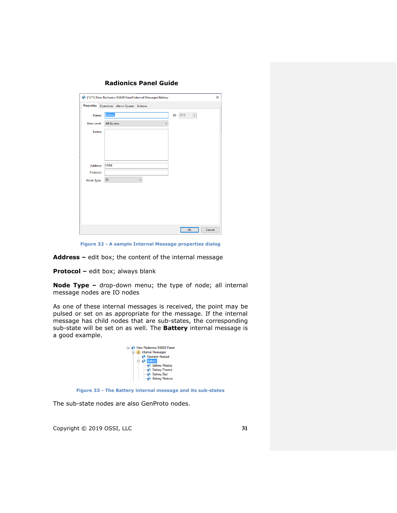|                    |                   | ♦ [1073] New Radionics D6600 Panel\Internal Messages\Battery |              |              |                             | $\times$ |
|--------------------|-------------------|--------------------------------------------------------------|--------------|--------------|-----------------------------|----------|
|                    |                   | Properties Operation Alarm Queue Actions                     |              |              |                             |          |
| Name:              | <b>Battery</b>    |                                                              |              |              | ID: 1073<br>$\frac{a}{\pi}$ |          |
| <b>User Level:</b> | <b>All Access</b> |                                                              |              | $\checkmark$ |                             |          |
| Notes:             |                   |                                                              |              |              |                             |          |
|                    |                   |                                                              |              |              |                             |          |
|                    |                   |                                                              |              |              |                             |          |
|                    |                   |                                                              |              |              |                             |          |
|                    |                   |                                                              |              |              |                             |          |
| Address:           | <b>NYM</b>        |                                                              |              |              |                             |          |
| Protocol:          |                   |                                                              |              |              |                             |          |
| Node Type:         | <b>IO</b>         |                                                              | $\checkmark$ |              |                             |          |
|                    |                   |                                                              |              |              |                             |          |
|                    |                   |                                                              |              |              |                             |          |
|                    |                   |                                                              |              |              |                             |          |
|                    |                   |                                                              |              |              |                             |          |
|                    |                   |                                                              |              |              |                             |          |
|                    |                   |                                                              |              |              |                             |          |
|                    |                   |                                                              |              |              | OK                          | Cancel   |

**Figure 32 - A sample Internal Message properties dialog**

**Address –** edit box; the content of the internal message

**Protocol –** edit box; always blank

**Node Type –** drop-down menu; the type of node; all internal message nodes are IO nodes

As one of these internal messages is received, the point may be pulsed or set on as appropriate for the message. If the internal message has child nodes that are sub-states, the corresponding sub-state will be set on as well. The **Battery** internal message is a good example.



**Figure 33 - The Battery internal message and its sub-states**

The sub-state nodes are also GenProto nodes.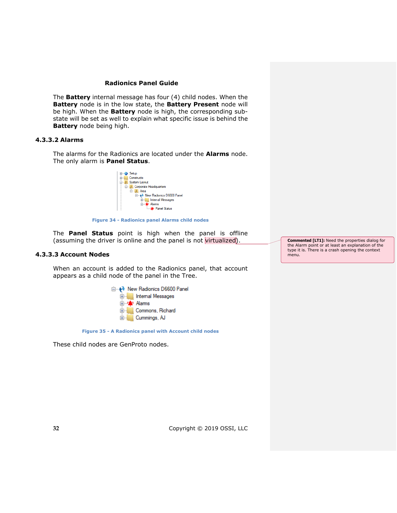The **Battery** internal message has four (4) child nodes. When the **Battery** node is in the low state, the **Battery Present** node will be high. When the **Battery** node is high, the corresponding substate will be set as well to explain what specific issue is behind the **Battery** node being high.

## **4.3.3.2 Alarms**

The alarms for the Radionics are located under the **Alarms** node. The only alarm is **Panel Status**.



**Figure 34 - Radionics panel Alarms child nodes**

The **Panel Status** point is high when the panel is offline (assuming the driver is online and the panel is not virtualized).

#### **4.3.3.3 Account Nodes**

When an account is added to the Radionics panel, that account appears as a child node of the panel in the Tree.



**Figure 35 - A Radionics panel with Account child nodes**

These child nodes are GenProto nodes.

**Commented [LT1]:** Need the properties dialog for the Alarm point or at least an explanation of the type it is. There is a crash opening the context menu.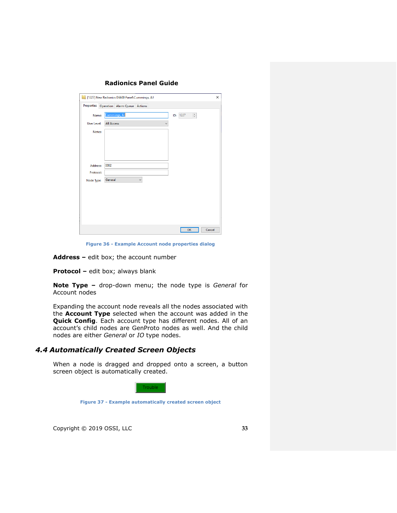|                    | 1227] New Radionics D6600 Panel\Cummings, AJ   | X      |
|--------------------|------------------------------------------------|--------|
|                    | Properties Operation Alarm Queue Actions       |        |
| Name:              | Cummings, AJ<br>$\frac{a}{\pi}$<br>1227<br>ID: |        |
| <b>User Level:</b> | <b>All Access</b><br>$\checkmark$              |        |
| Notes:             |                                                |        |
|                    |                                                |        |
|                    |                                                |        |
|                    |                                                |        |
| Address:           | 0002                                           |        |
| Protocol:          |                                                |        |
| Node Type:         | General<br>$\checkmark$                        |        |
|                    |                                                |        |
|                    |                                                |        |
|                    |                                                |        |
|                    |                                                |        |
|                    |                                                |        |
|                    | OK                                             | Cancel |

**Figure 36 - Example Account node properties dialog**

**Address –** edit box; the account number

**Protocol –** edit box; always blank

**Note Type –** drop-down menu; the node type is *General* for Account nodes

Expanding the account node reveals all the nodes associated with the **Account Type** selected when the account was added in the **Quick Config**. Each account type has different nodes. All of an account's child nodes are GenProto nodes as well. And the child nodes are either *General* or *IO* type nodes.

## <span id="page-32-0"></span>*4.4 Automatically Created Screen Objects*

When a node is dragged and dropped onto a screen, a button screen object is automatically created.



**Figure 37 - Example automatically created screen object**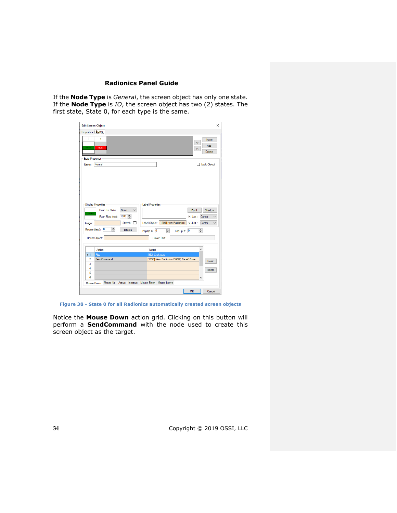If the **Node Type** is *General*, the screen object has only one state. If the **Node Type** is *IO*, the screen object has two (2) states. The first state, State 0, for each type is the same.

| <b>Edit Screen Object</b><br>Properties States |                                     |                                                 |                                                          |            |                                                    | $\times$                |
|------------------------------------------------|-------------------------------------|-------------------------------------------------|----------------------------------------------------------|------------|----------------------------------------------------|-------------------------|
| $\mathbf{0}$<br>1<br>Trouble<br>Trouble        |                                     |                                                 |                                                          |            | $\gg$<br>$\lt$                                     | Insert<br>Add<br>Delete |
| <b>State Properties</b>                        |                                     |                                                 |                                                          |            |                                                    |                         |
| Normal<br>Name:                                |                                     |                                                 |                                                          |            |                                                    | <b>Lock Object</b>      |
| <b>Display Properties</b>                      |                                     |                                                 | <b>Label Properties</b>                                  |            |                                                    |                         |
| Trouble<br>Image:                              | Flash To State:<br>Flash Rate (ms): | $\checkmark$<br>None<br>$1000 \div$<br>Stretch: | Label Object: [1196] New Radionics                       |            | Font<br>H. Just.:<br>Center<br>V. Just.:<br>Center | Shadow<br>$\checkmark$  |
| Rotate (deg.): 0                               | $\div$                              | <b>Effects</b>                                  | $\left  \div \right $<br>PopUp X: 0                      | PopUp Y: 0 | $\div$                                             |                         |
| Hover Object:                                  |                                     |                                                 | Hover Text:                                              |            |                                                    |                         |
| Action                                         |                                     |                                                 | Target                                                   |            | ۸                                                  |                         |
| $+1$<br>Play                                   |                                     |                                                 | [962] Click.wav                                          |            |                                                    |                         |
| $\overline{2}$<br>3                            | SendCommand                         |                                                 | [1196] New Radionics D6600 Panel\Zone                    |            |                                                    | Insert                  |
| 4                                              |                                     |                                                 |                                                          |            |                                                    |                         |
| 5                                              |                                     |                                                 |                                                          |            |                                                    | Delete                  |
| 6                                              |                                     |                                                 |                                                          |            |                                                    |                         |
| Mouse Down                                     |                                     |                                                 | Mouse Up   Active   Inactive   Mouse Enter   Mouse Leave |            |                                                    |                         |

**Figure 38 - State 0 for all Radionics automatically created screen objects**

Notice the **Mouse Down** action grid. Clicking on this button will perform a **SendCommand** with the node used to create this screen object as the target.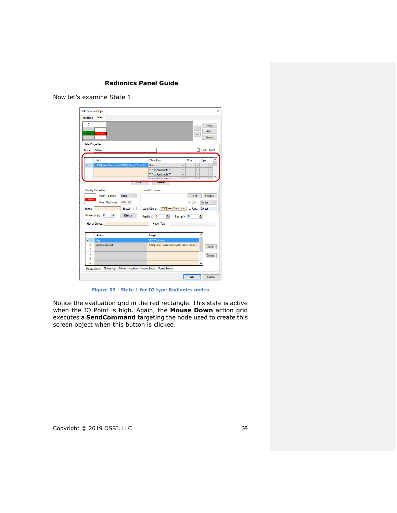Now let's examine State 1.

| $\mathbf{0}$<br>Trouble | 1<br>Trouble                                                                |                                       |              | Insert<br>$\rightarrow$<br>Add<br><<<br><b>Delete</b> |
|-------------------------|-----------------------------------------------------------------------------|---------------------------------------|--------------|-------------------------------------------------------|
| <b>State Properties</b> |                                                                             |                                       |              |                                                       |
| Name:                   | Active                                                                      |                                       |              | Lock Object                                           |
|                         | Point                                                                       | Selection                             | Qual.        | ^<br>Oper.                                            |
|                         | [1196] New Radionics D6600 Panel\Zone 0                                     | State                                 | $\checkmark$ | $\checkmark$                                          |
|                         |                                                                             | ** Not Applicable **                  | $\checkmark$ | $\checkmark$                                          |
|                         |                                                                             | ** Not Applicable **                  |              | $\checkmark$                                          |
|                         |                                                                             | ** Not Applicable **                  |              |                                                       |
| Trouble                 | <b>Display Properties</b><br>Flash To State:<br><b>None</b><br>$\checkmark$ | <b>Label Properties</b>               | Font         | Shadow                                                |
|                         | $1000$ $\div$<br>Flash Rate (ms):                                           |                                       | H. Just.:    | Center                                                |
| Image:                  | Stretch: 0                                                                  | Label Object: [1196] New Radionics    | V. Just.:    | Center                                                |
|                         | $\div$<br>Rotate (deg.): 0<br><b>Effects</b>                                | $\div$<br>PopUp Y: 0<br>PopUp X: 0    |              | $\div$                                                |
|                         | Hover Object:                                                               | Hover Text:                           |              |                                                       |
|                         | Action                                                                      | Target                                |              | ۸                                                     |
| $\blacktriangleright$ 1 | Play                                                                        | [962] Click.wav                       |              |                                                       |
| 2                       | SendCommand                                                                 | [1196] New Radionics D6600 Panel\Zone |              | Insert                                                |
| 3                       |                                                                             |                                       |              |                                                       |
| 4                       |                                                                             |                                       |              | Delete                                                |
| 5<br>6                  |                                                                             |                                       |              |                                                       |
|                         |                                                                             |                                       |              |                                                       |
| Mouse Down              | Mouse Up   Active   Inactive   Mouse Enter   Mouse Leave                    |                                       |              |                                                       |

**Figure 39 - State 1 for IO type Radionics nodes**

Notice the evaluation grid in the red rectangle. This state is active when the IO Point is high. Again, the Mouse Down action grid executes a **SendCommand** targeting the node used to create this screen object when this button is clicked.